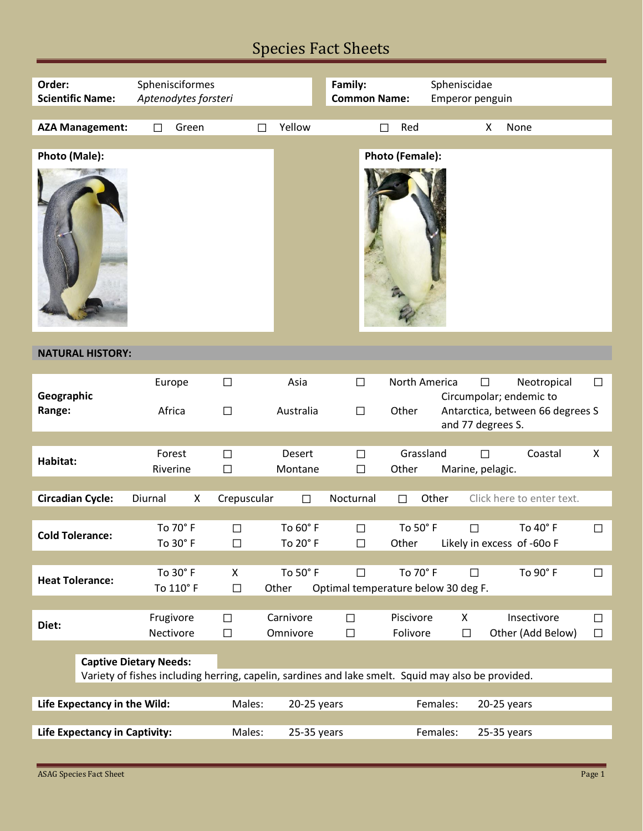# Species Fact Sheets

| Order:                        | <b>Scientific Name:</b>                                                                            | Sphenisciformes<br>Aptenodytes forsteri |                 |                  |               |               | Family:<br><b>Common Name:</b>                |   |                 | Spheniscidae                                                                     | Emperor penguin       |                            |        |
|-------------------------------|----------------------------------------------------------------------------------------------------|-----------------------------------------|-----------------|------------------|---------------|---------------|-----------------------------------------------|---|-----------------|----------------------------------------------------------------------------------|-----------------------|----------------------------|--------|
|                               | <b>AZA Management:</b>                                                                             | $\Box$                                  | Green           |                  | $\Box$        | Yellow        |                                               | П | Red             |                                                                                  | X                     | None                       |        |
|                               |                                                                                                    |                                         |                 |                  |               |               |                                               |   |                 |                                                                                  |                       |                            |        |
| Photo (Male):                 |                                                                                                    |                                         |                 |                  |               |               |                                               |   | Photo (Female): |                                                                                  |                       |                            |        |
| <b>NATURAL HISTORY:</b>       |                                                                                                    |                                         |                 |                  |               |               |                                               |   |                 |                                                                                  |                       |                            |        |
|                               |                                                                                                    |                                         |                 |                  |               |               |                                               |   |                 |                                                                                  |                       |                            |        |
| Geographic<br>Range:          |                                                                                                    |                                         | Europe          | $\Box$           |               | Asia          | $\Box$                                        |   | North America   |                                                                                  | $\Box$                | Neotropical                | $\Box$ |
|                               |                                                                                                    | Africa                                  |                 | $\Box$           | Australia     |               | $\Box$                                        |   | Other           | Circumpolar; endemic to<br>Antarctica, between 66 degrees S<br>and 77 degrees S. |                       |                            |        |
|                               |                                                                                                    | Forest                                  |                 |                  |               | Desert        |                                               |   | Grassland       |                                                                                  |                       | Coastal                    | X      |
| Habitat:                      |                                                                                                    | Riverine                                |                 | $\Box$<br>$\Box$ |               | Montane       | $\Box$<br>$\Box$                              |   | Other           |                                                                                  | П<br>Marine, pelagic. |                            |        |
|                               |                                                                                                    |                                         |                 |                  |               |               |                                               |   |                 |                                                                                  |                       |                            |        |
|                               | <b>Circadian Cycle:</b>                                                                            | Diurnal                                 | X               | Crepuscular      |               | $\Box$        | Nocturnal                                     |   | $\Box$          | Other                                                                            |                       | Click here to enter text.  |        |
|                               |                                                                                                    |                                         | To 70° F        | $\Box$           |               | To 60° F      | $\Box$                                        |   | To 50° F        |                                                                                  | $\Box$                | To 40° F                   | $\Box$ |
|                               | <b>Cold Tolerance:</b>                                                                             |                                         | To $30^\circ$ F | $\Box$           |               | To 20° F      | $\Box$                                        |   | Other           |                                                                                  |                       | Likely in excess of -60o F |        |
|                               |                                                                                                    |                                         |                 |                  |               |               |                                               |   |                 |                                                                                  |                       |                            |        |
|                               | <b>Heat Tolerance:</b>                                                                             |                                         | To 30° F        | X                |               | To 50° F      | $\Box$<br>Optimal temperature below 30 deg F. |   | To 70° F        |                                                                                  | $\Box$                | To 90° F                   | $\Box$ |
|                               |                                                                                                    |                                         | To 110° F       | $\Box$           |               | Other         |                                               |   |                 |                                                                                  |                       |                            |        |
| Diet:                         |                                                                                                    | Frugivore                               |                 | □                |               | Carnivore     | $\Box$                                        |   | Piscivore       |                                                                                  | X                     | Insectivore                | $\Box$ |
|                               |                                                                                                    |                                         | Nectivore       | $\Box$           |               | Omnivore      | $\Box$                                        |   | Folivore        |                                                                                  | $\Box$                | Other (Add Below)          | $\Box$ |
|                               | <b>Captive Dietary Needs:</b>                                                                      |                                         |                 |                  |               |               |                                               |   |                 |                                                                                  |                       |                            |        |
|                               | Variety of fishes including herring, capelin, sardines and lake smelt. Squid may also be provided. |                                         |                 |                  |               |               |                                               |   |                 |                                                                                  |                       |                            |        |
|                               |                                                                                                    |                                         |                 |                  |               |               |                                               |   |                 |                                                                                  |                       |                            |        |
| Life Expectancy in the Wild:  |                                                                                                    |                                         |                 | Males:           |               | $20-25$ years |                                               |   |                 | Females:                                                                         |                       | $20-25$ years              |        |
| Life Expectancy in Captivity: |                                                                                                    |                                         | Males:          |                  | $25-35$ years |               |                                               |   | Females:        |                                                                                  | 25-35 years           |                            |        |

Е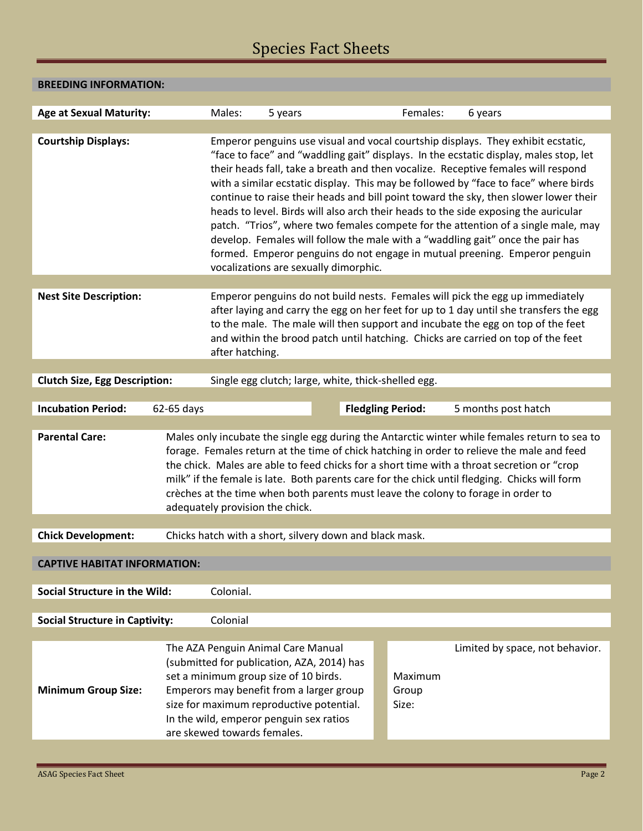# Species Fact Sheets

### **BREEDING INFORMATION:**

| <b>Age at Sexual Maturity:</b>                                                              | Males:<br>5 years                                                                                                                                                                                                                                                                           | Females:                                                                                                                                                                                                                                                                                                                                                                                                                                                                                                                                                                                                                                                                                                                                                                                                                           | 6 years                         |  |  |  |  |  |
|---------------------------------------------------------------------------------------------|---------------------------------------------------------------------------------------------------------------------------------------------------------------------------------------------------------------------------------------------------------------------------------------------|------------------------------------------------------------------------------------------------------------------------------------------------------------------------------------------------------------------------------------------------------------------------------------------------------------------------------------------------------------------------------------------------------------------------------------------------------------------------------------------------------------------------------------------------------------------------------------------------------------------------------------------------------------------------------------------------------------------------------------------------------------------------------------------------------------------------------------|---------------------------------|--|--|--|--|--|
| <b>Courtship Displays:</b>                                                                  |                                                                                                                                                                                                                                                                                             | Emperor penguins use visual and vocal courtship displays. They exhibit ecstatic,<br>"face to face" and "waddling gait" displays. In the ecstatic display, males stop, let<br>their heads fall, take a breath and then vocalize. Receptive females will respond<br>with a similar ecstatic display. This may be followed by "face to face" where birds<br>continue to raise their heads and bill point toward the sky, then slower lower their<br>heads to level. Birds will also arch their heads to the side exposing the auricular<br>patch. "Trios", where two females compete for the attention of a single male, may<br>develop. Females will follow the male with a "waddling gait" once the pair has<br>formed. Emperor penguins do not engage in mutual preening. Emperor penguin<br>vocalizations are sexually dimorphic. |                                 |  |  |  |  |  |
|                                                                                             |                                                                                                                                                                                                                                                                                             |                                                                                                                                                                                                                                                                                                                                                                                                                                                                                                                                                                                                                                                                                                                                                                                                                                    |                                 |  |  |  |  |  |
| <b>Nest Site Description:</b>                                                               | after hatching.                                                                                                                                                                                                                                                                             | Emperor penguins do not build nests. Females will pick the egg up immediately<br>after laying and carry the egg on her feet for up to 1 day until she transfers the egg<br>to the male. The male will then support and incubate the egg on top of the feet<br>and within the brood patch until hatching. Chicks are carried on top of the feet                                                                                                                                                                                                                                                                                                                                                                                                                                                                                     |                                 |  |  |  |  |  |
|                                                                                             |                                                                                                                                                                                                                                                                                             |                                                                                                                                                                                                                                                                                                                                                                                                                                                                                                                                                                                                                                                                                                                                                                                                                                    |                                 |  |  |  |  |  |
| <b>Clutch Size, Egg Description:</b><br>Single egg clutch; large, white, thick-shelled egg. |                                                                                                                                                                                                                                                                                             |                                                                                                                                                                                                                                                                                                                                                                                                                                                                                                                                                                                                                                                                                                                                                                                                                                    |                                 |  |  |  |  |  |
|                                                                                             |                                                                                                                                                                                                                                                                                             |                                                                                                                                                                                                                                                                                                                                                                                                                                                                                                                                                                                                                                                                                                                                                                                                                                    |                                 |  |  |  |  |  |
| <b>Incubation Period:</b>                                                                   | 62-65 days                                                                                                                                                                                                                                                                                  | <b>Fledgling Period:</b>                                                                                                                                                                                                                                                                                                                                                                                                                                                                                                                                                                                                                                                                                                                                                                                                           | 5 months post hatch             |  |  |  |  |  |
| <b>Parental Care:</b>                                                                       | adequately provision the chick.                                                                                                                                                                                                                                                             | Males only incubate the single egg during the Antarctic winter while females return to sea to<br>forage. Females return at the time of chick hatching in order to relieve the male and feed<br>the chick. Males are able to feed chicks for a short time with a throat secretion or "crop<br>milk" if the female is late. Both parents care for the chick until fledging. Chicks will form<br>crèches at the time when both parents must leave the colony to forage in order to                                                                                                                                                                                                                                                                                                                                                    |                                 |  |  |  |  |  |
|                                                                                             |                                                                                                                                                                                                                                                                                             |                                                                                                                                                                                                                                                                                                                                                                                                                                                                                                                                                                                                                                                                                                                                                                                                                                    |                                 |  |  |  |  |  |
| <b>Chick Development:</b>                                                                   | Chicks hatch with a short, silvery down and black mask.                                                                                                                                                                                                                                     |                                                                                                                                                                                                                                                                                                                                                                                                                                                                                                                                                                                                                                                                                                                                                                                                                                    |                                 |  |  |  |  |  |
| <b>CAPTIVE HABITAT INFORMATION:</b>                                                         |                                                                                                                                                                                                                                                                                             |                                                                                                                                                                                                                                                                                                                                                                                                                                                                                                                                                                                                                                                                                                                                                                                                                                    |                                 |  |  |  |  |  |
| <b>Social Structure in the Wild:</b>                                                        | Colonial.                                                                                                                                                                                                                                                                                   |                                                                                                                                                                                                                                                                                                                                                                                                                                                                                                                                                                                                                                                                                                                                                                                                                                    |                                 |  |  |  |  |  |
| <b>Social Structure in Captivity:</b>                                                       | Colonial                                                                                                                                                                                                                                                                                    |                                                                                                                                                                                                                                                                                                                                                                                                                                                                                                                                                                                                                                                                                                                                                                                                                                    |                                 |  |  |  |  |  |
|                                                                                             |                                                                                                                                                                                                                                                                                             |                                                                                                                                                                                                                                                                                                                                                                                                                                                                                                                                                                                                                                                                                                                                                                                                                                    |                                 |  |  |  |  |  |
| <b>Minimum Group Size:</b>                                                                  | The AZA Penguin Animal Care Manual<br>(submitted for publication, AZA, 2014) has<br>set a minimum group size of 10 birds.<br>Emperors may benefit from a larger group<br>size for maximum reproductive potential.<br>In the wild, emperor penguin sex ratios<br>are skewed towards females. | Maximum<br>Group<br>Size:                                                                                                                                                                                                                                                                                                                                                                                                                                                                                                                                                                                                                                                                                                                                                                                                          | Limited by space, not behavior. |  |  |  |  |  |

Г